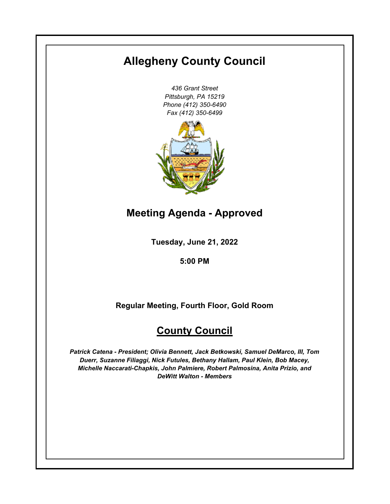# **Allegheny County Council**

*436 Grant Street Pittsburgh, PA 15219 Phone (412) 350-6490 Fax (412) 350-6499*



**Meeting Agenda - Approved**

**Tuesday, June 21, 2022**

**5:00 PM**

**Regular Meeting, Fourth Floor, Gold Room**

# **County Council**

*Patrick Catena - President; Olivia Bennett, Jack Betkowski, Samuel DeMarco, III, Tom Duerr, Suzanne Filiaggi, Nick Futules, Bethany Hallam, Paul Klein, Bob Macey, Michelle Naccarati-Chapkis, John Palmiere, Robert Palmosina, Anita Prizio, and DeWitt Walton - Members*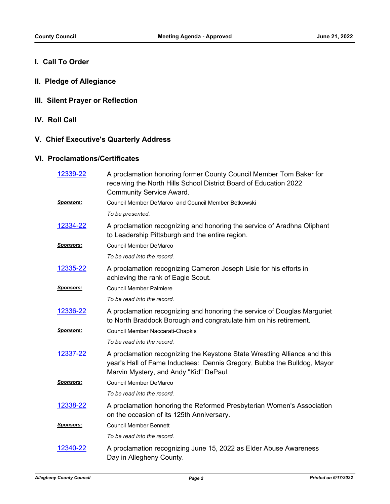- **I. Call To Order**
- **II. Pledge of Allegiance**
- **III. Silent Prayer or Reflection**
- **IV. Roll Call**

## **V. Chief Executive's Quarterly Address**

## **VI. Proclamations/Certificates**

| 12339-22         | A proclamation honoring former County Council Member Tom Baker for<br>receiving the North Hills School District Board of Education 2022<br><b>Community Service Award.</b>                     |  |  |
|------------------|------------------------------------------------------------------------------------------------------------------------------------------------------------------------------------------------|--|--|
| <u>Sponsors:</u> | Council Member DeMarco and Council Member Betkowski                                                                                                                                            |  |  |
|                  | To be presented.                                                                                                                                                                               |  |  |
| 12334-22         | A proclamation recognizing and honoring the service of Aradhna Oliphant<br>to Leadership Pittsburgh and the entire region.                                                                     |  |  |
| <b>Sponsors:</b> | <b>Council Member DeMarco</b>                                                                                                                                                                  |  |  |
|                  | To be read into the record.                                                                                                                                                                    |  |  |
| 12335-22         | A proclamation recognizing Cameron Joseph Lisle for his efforts in<br>achieving the rank of Eagle Scout.                                                                                       |  |  |
| <b>Sponsors:</b> | <b>Council Member Palmiere</b>                                                                                                                                                                 |  |  |
|                  | To be read into the record.                                                                                                                                                                    |  |  |
| 12336-22         | A proclamation recognizing and honoring the service of Douglas Marguriet<br>to North Braddock Borough and congratulate him on his retirement.                                                  |  |  |
| <u>Sponsors:</u> | Council Member Naccarati-Chapkis                                                                                                                                                               |  |  |
|                  | To be read into the record.                                                                                                                                                                    |  |  |
| 12337-22         | A proclamation recognizing the Keystone State Wrestling Alliance and this<br>year's Hall of Fame Inductees: Dennis Gregory, Bubba the Bulldog, Mayor<br>Marvin Mystery, and Andy "Kid" DePaul. |  |  |
| Sponsors:        | <b>Council Member DeMarco</b>                                                                                                                                                                  |  |  |
|                  | To be read into the record.                                                                                                                                                                    |  |  |
| <u>12338-22</u>  | A proclamation honoring the Reformed Presbyterian Women's Association<br>on the occasion of its 125th Anniversary.                                                                             |  |  |
| <u>Sponsors:</u> | <b>Council Member Bennett</b>                                                                                                                                                                  |  |  |
|                  | To be read into the record.                                                                                                                                                                    |  |  |
| 12340-22         | A proclamation recognizing June 15, 2022 as Elder Abuse Awareness<br>Day in Allegheny County.                                                                                                  |  |  |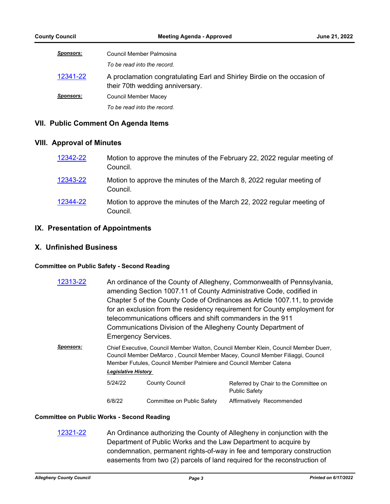| <b>Sponsors:</b> | Council Member Palmosina                                                                                    |  |  |
|------------------|-------------------------------------------------------------------------------------------------------------|--|--|
|                  | To be read into the record.                                                                                 |  |  |
| 12341-22         | A proclamation congratulating Earl and Shirley Birdie on the occasion of<br>their 70th wedding anniversary. |  |  |
| <b>Sponsors:</b> | Council Member Macey                                                                                        |  |  |
|                  | To be read into the record.                                                                                 |  |  |

# **VII. Public Comment On Agenda Items**

#### **VIII. Approval of Minutes**

| 12342-22 | Motion to approve the minutes of the February 22, 2022 regular meeting of<br>Council. |
|----------|---------------------------------------------------------------------------------------|
| 12343-22 | Motion to approve the minutes of the March 8, 2022 regular meeting of<br>Council.     |
| 12344-22 | Motion to approve the minutes of the March 22, 2022 regular meeting of<br>Council.    |

# **IX. Presentation of Appointments**

#### **X. Unfinished Business**

#### **Committee on Public Safety - Second Reading**

| 12313-22         | An ordinance of the County of Allegheny, Commonwealth of Pennsylvania,<br>amending Section 1007.11 of County Administrative Code, codified in<br>Chapter 5 of the County Code of Ordinances as Article 1007.11, to provide<br>for an exclusion from the residency requirement for County employment for<br>telecommunications officers and shift commanders in the 911<br>Communications Division of the Allegheny County Department of<br><b>Emergency Services.</b> |                            |                                                               |  |  |
|------------------|-----------------------------------------------------------------------------------------------------------------------------------------------------------------------------------------------------------------------------------------------------------------------------------------------------------------------------------------------------------------------------------------------------------------------------------------------------------------------|----------------------------|---------------------------------------------------------------|--|--|
| <b>Sponsors:</b> | Chief Executive, Council Member Walton, Council Member Klein, Council Member Duerr,<br>Council Member DeMarco, Council Member Macey, Council Member Filiaggi, Council<br>Member Futules, Council Member Palmiere and Council Member Catena<br><b>Legislative History</b>                                                                                                                                                                                              |                            |                                                               |  |  |
|                  | 5/24/22                                                                                                                                                                                                                                                                                                                                                                                                                                                               | <b>County Council</b>      | Referred by Chair to the Committee on<br><b>Public Safety</b> |  |  |
|                  | 6/8/22                                                                                                                                                                                                                                                                                                                                                                                                                                                                | Committee on Public Safety | Affirmatively Recommended                                     |  |  |

#### **Committee on Public Works - Second Reading**

An Ordinance authorizing the County of Allegheny in conjunction with the Department of Public Works and the Law Department to acquire by condemnation, permanent rights-of-way in fee and temporary construction easements from two (2) parcels of land required for the reconstruction of [12321-22](http://allegheny.legistar.com/gateway.aspx?m=l&id=/matter.aspx?key=13386)